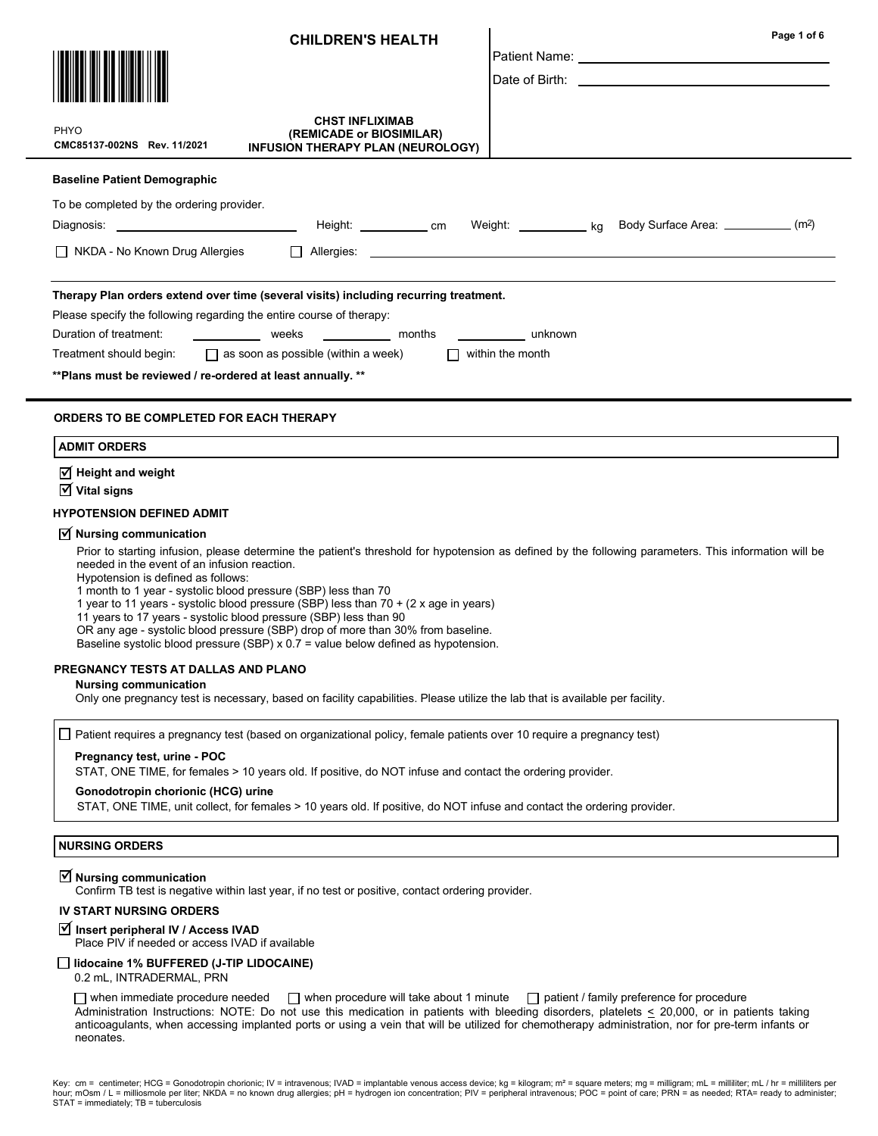| <b>CHILDREN'S HEALTH</b>                                                                                                                                                                                                                                                                                                                                                                                                                                                                                                                                                                                                                                                                       | Page 1 of 6                                                                                                                                                                                                                    |
|------------------------------------------------------------------------------------------------------------------------------------------------------------------------------------------------------------------------------------------------------------------------------------------------------------------------------------------------------------------------------------------------------------------------------------------------------------------------------------------------------------------------------------------------------------------------------------------------------------------------------------------------------------------------------------------------|--------------------------------------------------------------------------------------------------------------------------------------------------------------------------------------------------------------------------------|
|                                                                                                                                                                                                                                                                                                                                                                                                                                                                                                                                                                                                                                                                                                |                                                                                                                                                                                                                                |
|                                                                                                                                                                                                                                                                                                                                                                                                                                                                                                                                                                                                                                                                                                | Date of Birth: All the contract of the contract of the contract of the contract of the contract of the contract of the contract of the contract of the contract of the contract of the contract of the contract of the contrac |
|                                                                                                                                                                                                                                                                                                                                                                                                                                                                                                                                                                                                                                                                                                |                                                                                                                                                                                                                                |
| <b>CHST INFLIXIMAB</b><br>PHYO<br>(REMICADE or BIOSIMILAR)<br>CMC85137-002NS Rev. 11/2021<br>INFUSION THERAPY PLAN (NEUROLOGY)                                                                                                                                                                                                                                                                                                                                                                                                                                                                                                                                                                 |                                                                                                                                                                                                                                |
| <b>Baseline Patient Demographic</b>                                                                                                                                                                                                                                                                                                                                                                                                                                                                                                                                                                                                                                                            |                                                                                                                                                                                                                                |
| To be completed by the ordering provider.                                                                                                                                                                                                                                                                                                                                                                                                                                                                                                                                                                                                                                                      |                                                                                                                                                                                                                                |
| Height: _____________ cm                                                                                                                                                                                                                                                                                                                                                                                                                                                                                                                                                                                                                                                                       | Weight: _____________ kg Body Surface Area: ____________ (m2)                                                                                                                                                                  |
| $\Box$ NKDA - No Known Drug Allergies                                                                                                                                                                                                                                                                                                                                                                                                                                                                                                                                                                                                                                                          | $\Box$ Allergies: $\Box$                                                                                                                                                                                                       |
| Therapy Plan orders extend over time (several visits) including recurring treatment.                                                                                                                                                                                                                                                                                                                                                                                                                                                                                                                                                                                                           |                                                                                                                                                                                                                                |
| Please specify the following regarding the entire course of therapy:                                                                                                                                                                                                                                                                                                                                                                                                                                                                                                                                                                                                                           |                                                                                                                                                                                                                                |
| Duration of treatment:<br>______________ months _____________ unknown<br><b>Example 18</b> Weeks                                                                                                                                                                                                                                                                                                                                                                                                                                                                                                                                                                                               |                                                                                                                                                                                                                                |
| $\Box$ as soon as possible (within a week)<br>Treatment should begin:                                                                                                                                                                                                                                                                                                                                                                                                                                                                                                                                                                                                                          | $\Box$ within the month                                                                                                                                                                                                        |
| ** Plans must be reviewed / re-ordered at least annually. **                                                                                                                                                                                                                                                                                                                                                                                                                                                                                                                                                                                                                                   |                                                                                                                                                                                                                                |
| <b>ORDERS TO BE COMPLETED FOR EACH THERAPY</b>                                                                                                                                                                                                                                                                                                                                                                                                                                                                                                                                                                                                                                                 |                                                                                                                                                                                                                                |
| <b>ADMIT ORDERS</b>                                                                                                                                                                                                                                                                                                                                                                                                                                                                                                                                                                                                                                                                            |                                                                                                                                                                                                                                |
| $\sqrt{ }$ Height and weight                                                                                                                                                                                                                                                                                                                                                                                                                                                                                                                                                                                                                                                                   |                                                                                                                                                                                                                                |
| $\overline{\mathsf{M}}$ Vital signs                                                                                                                                                                                                                                                                                                                                                                                                                                                                                                                                                                                                                                                            |                                                                                                                                                                                                                                |
| <b>HYPOTENSION DEFINED ADMIT</b>                                                                                                                                                                                                                                                                                                                                                                                                                                                                                                                                                                                                                                                               |                                                                                                                                                                                                                                |
| $\triangledown$ Nursing communication<br>Prior to starting infusion, please determine the patient's threshold for hypotension as defined by the following parameters. This information will be<br>needed in the event of an infusion reaction.<br>Hypotension is defined as follows:<br>1 month to 1 year - systolic blood pressure (SBP) less than 70<br>1 year to 11 years - systolic blood pressure (SBP) less than 70 + (2 x age in years)<br>11 years to 17 years - systolic blood pressure (SBP) less than 90<br>OR any age - systolic blood pressure (SBP) drop of more than 30% from baseline.<br>Baseline systolic blood pressure (SBP) $x$ 0.7 = value below defined as hypotension. |                                                                                                                                                                                                                                |
| PREGNANCY TESTS AT DALLAS AND PLANO                                                                                                                                                                                                                                                                                                                                                                                                                                                                                                                                                                                                                                                            |                                                                                                                                                                                                                                |
| <b>Nursing communication</b><br>Only one pregnancy test is necessary, based on facility capabilities. Please utilize the lab that is available per facility.                                                                                                                                                                                                                                                                                                                                                                                                                                                                                                                                   |                                                                                                                                                                                                                                |
| Patient requires a pregnancy test (based on organizational policy, female patients over 10 require a pregnancy test)                                                                                                                                                                                                                                                                                                                                                                                                                                                                                                                                                                           |                                                                                                                                                                                                                                |
| Pregnancy test, urine - POC<br>STAT, ONE TIME, for females > 10 years old. If positive, do NOT infuse and contact the ordering provider.                                                                                                                                                                                                                                                                                                                                                                                                                                                                                                                                                       |                                                                                                                                                                                                                                |
| Gonodotropin chorionic (HCG) urine<br>STAT, ONE TIME, unit collect, for females > 10 years old. If positive, do NOT infuse and contact the ordering provider.                                                                                                                                                                                                                                                                                                                                                                                                                                                                                                                                  |                                                                                                                                                                                                                                |
|                                                                                                                                                                                                                                                                                                                                                                                                                                                                                                                                                                                                                                                                                                |                                                                                                                                                                                                                                |
| <b>NURSING ORDERS</b>                                                                                                                                                                                                                                                                                                                                                                                                                                                                                                                                                                                                                                                                          |                                                                                                                                                                                                                                |
| $\triangledown$ Nursing communication<br>Confirm TB test is negative within last year, if no test or positive, contact ordering provider.                                                                                                                                                                                                                                                                                                                                                                                                                                                                                                                                                      |                                                                                                                                                                                                                                |
| <b>IV START NURSING ORDERS</b>                                                                                                                                                                                                                                                                                                                                                                                                                                                                                                                                                                                                                                                                 |                                                                                                                                                                                                                                |
| <b>Ø</b> Insert peripheral IV / Access IVAD<br>Place PIV if needed or access IVAD if available                                                                                                                                                                                                                                                                                                                                                                                                                                                                                                                                                                                                 |                                                                                                                                                                                                                                |
| lidocaine 1% BUFFERED (J-TIP LIDOCAINE)<br>0.2 mL, INTRADERMAL, PRN                                                                                                                                                                                                                                                                                                                                                                                                                                                                                                                                                                                                                            |                                                                                                                                                                                                                                |
| $\Box$ when immediate procedure needed $\Box$ when procedure will take about 1 minute $\Box$ patient / family preference for procedure                                                                                                                                                                                                                                                                                                                                                                                                                                                                                                                                                         |                                                                                                                                                                                                                                |

when immediate procedure needed  $\Box$  when procedure will take about 1 minute  $\Box$  patient / family preference for procedure Administration Instructions: NOTE: Do not use this medication in patients with bleeding disorders, platelets  $\leq$  20,000, or in patients taking anticoagulants, when accessing implanted ports or using a vein that will be utilized for chemotherapy administration, nor for pre-term infants or neonates.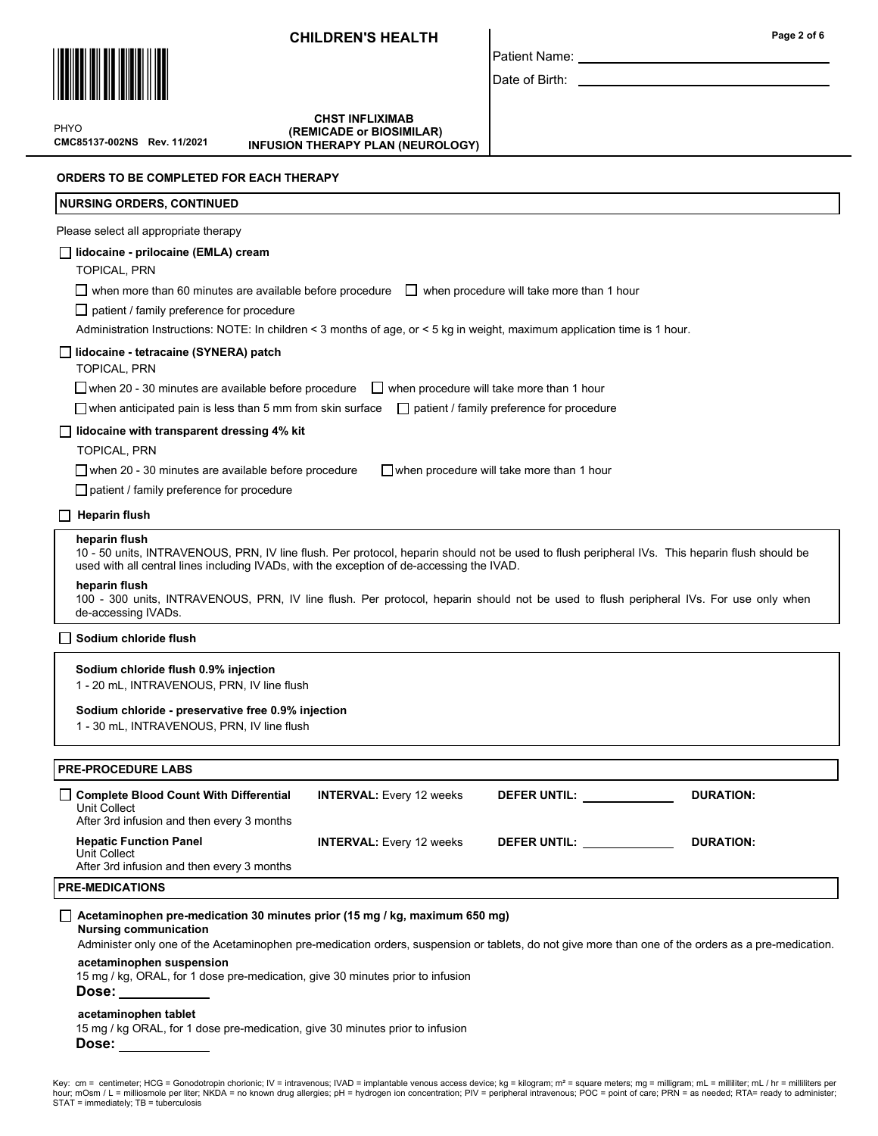

Date of Birth:

Patient Name:

CMC85137-002NS Rev. 11/2021 PHYO

CHST INFLIXIMAB (REMICADE or BIOSIMILAR) INFUSION THERAPY PLAN (NEUROLOGY)

ORDERS TO BE COMPLETED FOR EACH THERAPY

| <b>NURSING ORDERS, CONTINUED</b>                                                                                                                                                                                                                                         |
|--------------------------------------------------------------------------------------------------------------------------------------------------------------------------------------------------------------------------------------------------------------------------|
| Please select all appropriate therapy                                                                                                                                                                                                                                    |
| lidocaine - prilocaine (EMLA) cream<br><b>TOPICAL, PRN</b>                                                                                                                                                                                                               |
| when more than 60 minutes are available before procedure $\Box$ when procedure will take more than 1 hour                                                                                                                                                                |
| $\Box$ patient / family preference for procedure<br>Administration Instructions: NOTE: In children < 3 months of age, or < 5 kg in weight, maximum application time is 1 hour.                                                                                           |
| lidocaine - tetracaine (SYNERA) patch<br><b>TOPICAL, PRN</b>                                                                                                                                                                                                             |
| $\Box$ when procedure will take more than 1 hour<br>$\Box$ when 20 - 30 minutes are available before procedure<br>$\Box$ when anticipated pain is less than 5 mm from skin surface<br>patient / family preference for procedure                                          |
| lidocaine with transparent dressing 4% kit                                                                                                                                                                                                                               |
| <b>TOPICAL, PRN</b>                                                                                                                                                                                                                                                      |
| $\Box$ when 20 - 30 minutes are available before procedure<br>$\Box$ when procedure will take more than 1 hour                                                                                                                                                           |
| $\Box$ patient / family preference for procedure                                                                                                                                                                                                                         |
| $\Box$ Heparin flush                                                                                                                                                                                                                                                     |
| heparin flush<br>10 - 50 units, INTRAVENOUS, PRN, IV line flush. Per protocol, heparin should not be used to flush peripheral IVs. This heparin flush should be<br>used with all central lines including IVADs, with the exception of de-accessing the IVAD.             |
| heparin flush<br>100 - 300 units, INTRAVENOUS, PRN, IV line flush. Per protocol, heparin should not be used to flush peripheral IVs. For use only when<br>de-accessing IVADs.                                                                                            |
| Sodium chloride flush                                                                                                                                                                                                                                                    |
| Sodium chloride flush 0.9% injection<br>1 - 20 mL, INTRAVENOUS, PRN, IV line flush                                                                                                                                                                                       |
| Sodium chloride - preservative free 0.9% injection<br>1 - 30 mL, INTRAVENOUS, PRN, IV line flush                                                                                                                                                                         |
| <b>PRE-PROCEDURE LABS</b>                                                                                                                                                                                                                                                |
| <b>Complete Blood Count With Differential</b><br><b>DURATION:</b><br><b>INTERVAL:</b> Every 12 weeks<br><b>DEFER UNTIL:</b><br>Unit Collect<br>After 3rd infusion and then every 3 months                                                                                |
| <b>Hepatic Function Panel</b><br><b>INTERVAL:</b> Every 12 weeks<br>DEFER UNTIL: ____________<br>DURATION:<br>Unit Collect<br>After 3rd infusion and then every 3 months                                                                                                 |
| <b>PRE-MEDICATIONS</b>                                                                                                                                                                                                                                                   |
| $\Box$ Acetaminophen pre-medication 30 minutes prior (15 mg / kg, maximum 650 mg)<br><b>Nursing communication</b><br>Administer only one of the Acetaminophen pre-medication orders, suspension or tablets, do not give more than one of the orders as a pre-medication. |
| acetaminophen suspension<br>15 mg / kg, ORAL, for 1 dose pre-medication, give 30 minutes prior to infusion<br>Dose: ___________                                                                                                                                          |
| acetaminophen tablet<br>15 mg / kg ORAL, for 1 dose pre-medication, give 30 minutes prior to infusion<br>Dose: __________                                                                                                                                                |

Key: cm = centimeter; HCG = Gonodotropin chorionic; IV = intravenous; IVAD = implantable venous access device; kg = kilogram; m² = square meters; mg = milligram; mL = milliliter; mL / hr = milliliters per<br>hour; mOsm / L =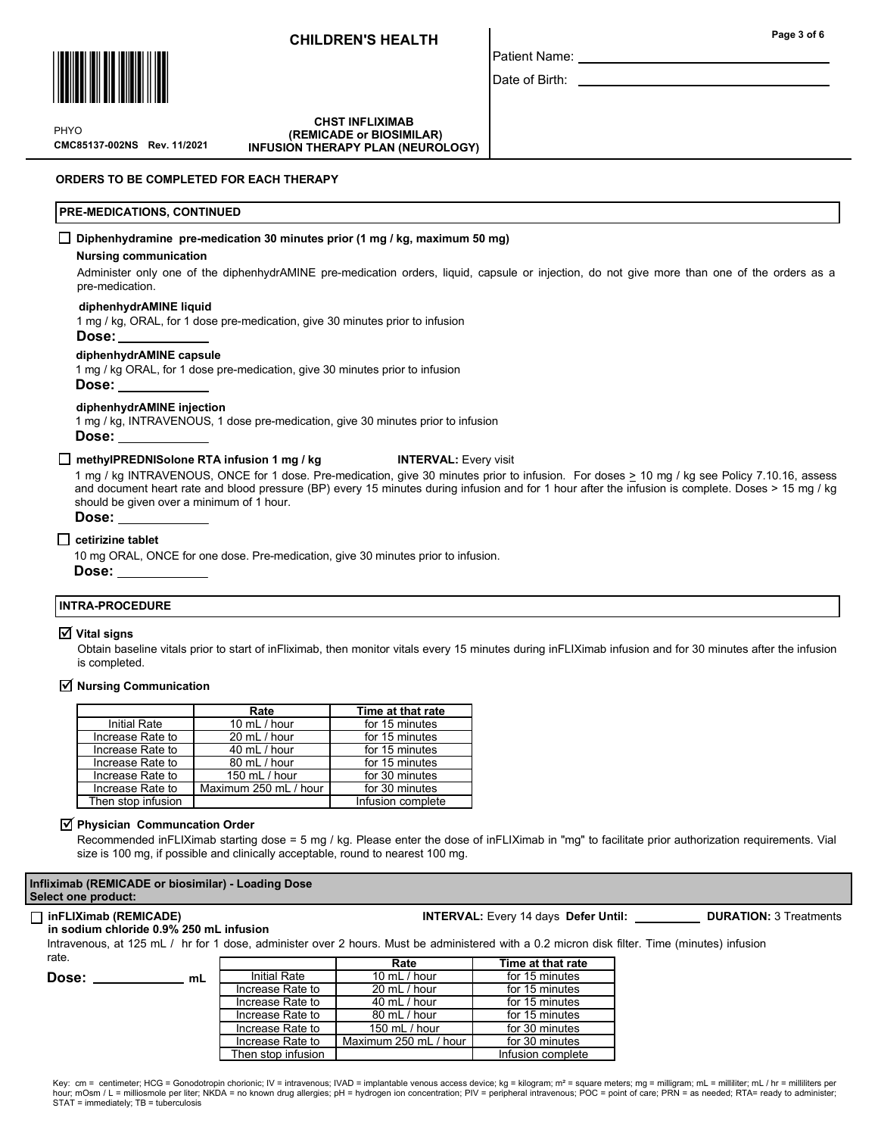

Patient Name: Date of Birth:

CMC85137-002NS Rev. 11/2021 **PHYO** 

**CHST INFLIXIMAB**  (REMICADE or BIOSIMILAR) INFUSION THERAPY PLAN (NEUROLOGY)

ORDERS TO BE COMPLETED FOR EACH THERAPY

#### PRE-MEDICATIONS, CONTINUED

#### Diphenhydramine pre-medication 30 minutes prior (1 mg / kg, maximum 50 mg)

#### Nursing communication

Administer only one of the diphenhydrAMINE pre-medication orders, liquid, capsule or injection, do not give more than one of the orders as a pre-medication.

#### diphenhydrAMINE liquid

1 mg / kg, ORAL, for 1 dose pre-medication, give 30 minutes prior to infusion

Dose:

#### diphenhydrAMINE capsule

1 mg / kg ORAL, for 1 dose pre-medication, give 30 minutes prior to infusion

Dose:

#### diphenhydrAMINE injection

1 mg / kg, INTRAVENOUS, 1 dose pre-medication, give 30 minutes prior to infusion Dose:

#### □ methyIPREDNISolone RTA infusion 1 mg / kg INTERVAL: Every visit

1 mg / kg INTRAVENOUS, ONCE for 1 dose. Pre-medication, give 30 minutes prior to infusion. For doses > 10 mg / kg see Policy 7.10.16, assess and document heart rate and blood pressure (BP) every 15 minutes during infusion and for 1 hour after the infusion is complete. Doses > 15 mg / kg should be given over a minimum of 1 hour.

#### Dose:

#### $\Box$  cetirizine tablet

10 mg ORAL, ONCE for one dose. Pre-medication, give 30 minutes prior to infusion. Dose:

#### INTRA-PROCEDURE

#### $\overline{v}$  Vital signs

Obtain baseline vitals prior to start of inFliximab, then monitor vitals every 15 minutes during inFLIXimab infusion and for 30 minutes after the infusion is completed.

#### $\triangledown$  Nursing Communication

|                     | Rate                  | Time at that rate |
|---------------------|-----------------------|-------------------|
| <b>Initial Rate</b> | 10 mL / hour          | for 15 minutes    |
| Increase Rate to    | 20 mL / hour          | for 15 minutes    |
| Increase Rate to    | 40 mL / hour          | for 15 minutes    |
| Increase Rate to    | 80 mL / hour          | for 15 minutes    |
| Increase Rate to    | 150 mL / hour         | for 30 minutes    |
| Increase Rate to    | Maximum 250 mL / hour | for 30 minutes    |
| Then stop infusion  |                       | Infusion complete |

#### $\triangledown$  Physician Communcation Order

Recommended inFLIXimab starting dose = 5 mg / kg. Please enter the dose of inFLIXimab in "mg" to facilitate prior authorization requirements. Vial size is 100 mg, if possible and clinically acceptable, round to nearest 100 mg.

#### Infliximab (REMICADE or biosimilar) - Loading Dose Select one product:

Dose:

## □ inFLIXimab (REMICADE) Note and the Second Muslim Control of the INTERVAL: Every 14 days Defer Until: Duration: 3 Treatments

#### in sodium chloride 0.9% 250 mL infusion

Intravenous, at 125 mL / hr for 1 dose, administer over 2 hours. Must be administered with a 0.2 micron disk filter. Time (minutes) infusion rate.

Then stop infusion I and Infusion complete

|    |                     | Rate                  | Time at that rate |
|----|---------------------|-----------------------|-------------------|
| mL | <b>Initial Rate</b> | 10 $mL / hour$        | for 15 minutes    |
|    | Increase Rate to    | 20 mL / hour          | for 15 minutes    |
|    | Increase Rate to    | 40 mL / hour          | for 15 minutes    |
|    | Increase Rate to    | 80 mL / hour          | for 15 minutes    |
|    | Increase Rate to    | 150 mL $/$ hour       | for 30 minutes    |
|    | Increase Rate to    | Maximum 250 mL / hour | for 30 minutes    |

Page 3 of 6

Key: cm = centimeter; HCG = Gonodotropin chorionic; IV = intravenous; IVAD = implantable venous access device; kg = kilogram; m<sup>2</sup> = square meters; mg = milligram; mL = milliliter; mL / hr = milliliters per hour; mOsm / L = milliosmole per liter; NKDA = no known drug allergies; pH = hydrogen ion concentration; PIV = peripheral intravenous; POC = point of care; PRN = as needed; RTA= ready to administer; STAT = immediately; TB = tuberculosis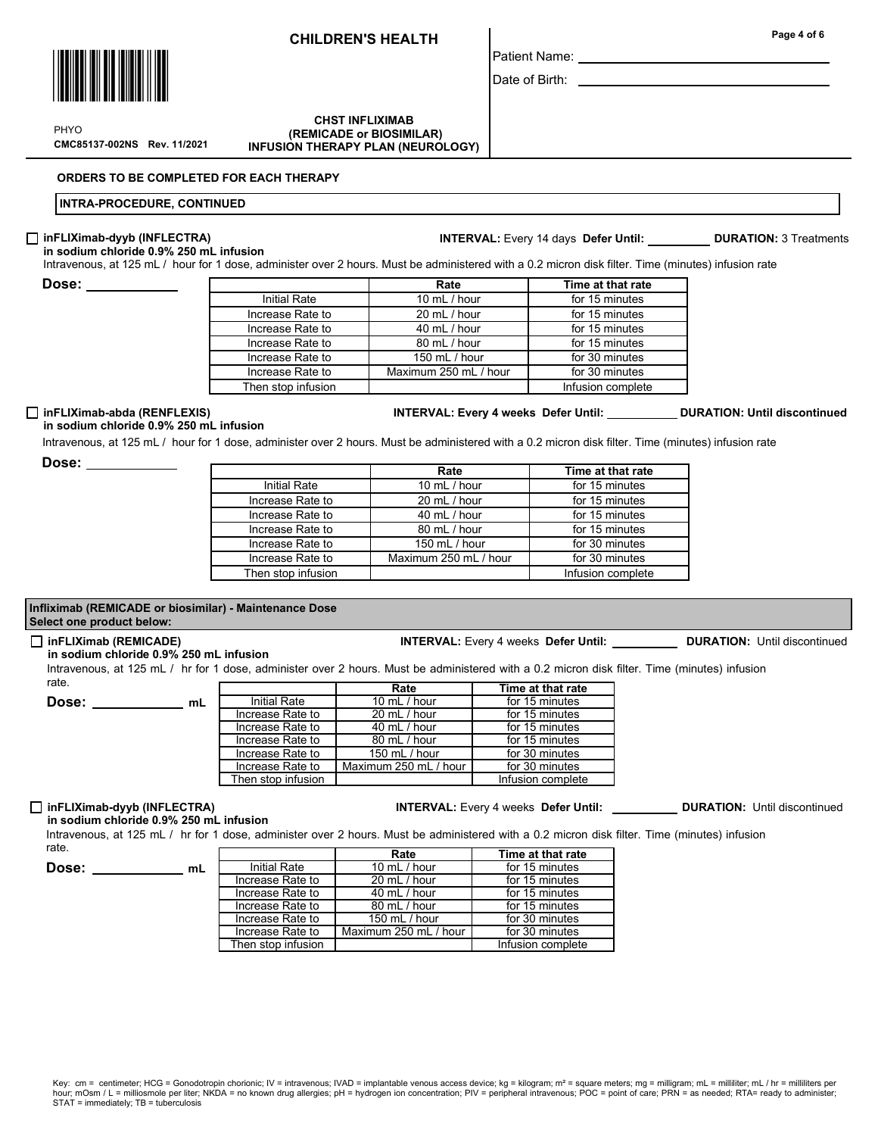Date of Birth: \_\_\_\_\_\_\_

Patient Name:

#### CMC85137-002NS Rev. 11/2021 **CHST INFLIXIMAB**  (REMICADE or BIOSIMILAR) INFUSION THERAPY PLAN (NEUROLOGY)

ORDERS TO BE COMPLETED FOR EACH THERAPY

## INTRA-PROCEDURE, CONTINUED

## $\Box$  inFLIXimab-dyyb (INFLECTRA)

Intravenous, at 125 mL / hour for 1 dose, administer over 2 hours. Must be administered with a 0.2 micron disk filter. Time (minutes) infusion rate in sodium chloride 0.9% 250 mL infusion

Dose:

|                    | Rate                  | Time at that rate |
|--------------------|-----------------------|-------------------|
| Initial Rate       | 10 mL / hour          | for 15 minutes    |
| Increase Rate to   | 20 mL / hour          | for 15 minutes    |
| Increase Rate to   | 40 mL / hour          | for 15 minutes    |
| Increase Rate to   | 80 mL / hour          | for 15 minutes    |
| Increase Rate to   | 150 mL / hour         | for 30 minutes    |
| Increase Rate to   | Maximum 250 mL / hour | for 30 minutes    |
| Then stop infusion |                       | Infusion complete |

#### $\Box$  inFLIXimab-abda (RENFLEXIS)

# INTERVAL: Every 4 weeks Defer Until: \_\_\_\_\_\_\_\_\_\_\_ DURATION: Until discontinued

INTERVAL: Every 14 days Defer Until: DURATION: 3 Treatments

in sodium chloride 0.9% 250 mL infusion Intravenous, at 125 mL / hour for 1 dose, administer over 2 hours. Must be administered with a 0.2 micron disk filter. Time (minutes) infusion rate

Dose: \_\_

|                     | Rate                  | Time at that rate |
|---------------------|-----------------------|-------------------|
| <b>Initial Rate</b> | 10 mL / hour          | for 15 minutes    |
| Increase Rate to    | 20 mL / hour          | for 15 minutes    |
| Increase Rate to    | 40 mL / hour          | for 15 minutes    |
| Increase Rate to    | 80 mL / hour          | for 15 minutes    |
| Increase Rate to    | 150 mL / hour         | for 30 minutes    |
| Increase Rate to    | Maximum 250 mL / hour | for 30 minutes    |
| Then stop infusion  |                       | Infusion complete |

### Infliximab (REMICADE or biosimilar) - Maintenance Dose Select one product below:

#### inFLIXimab (REMICADE) INTERVAL: Every 4 weeks Defer Until: DURATION: Until discontinued

Dose: \_\_\_\_\_\_\_\_\_\_\_\_ mL

in sodium chloride 0.9% 250 mL infusion

Intravenous, at 125 mL / hr for 1 dose, administer over 2 hours. Must be administered with a 0.2 micron disk filter. Time (minutes) infusion rate.

|                     | Rate                  | Time at that rate |
|---------------------|-----------------------|-------------------|
| <b>Initial Rate</b> | 10 mL / hour          | for 15 minutes    |
| Increase Rate to    | 20 mL / hour          | for 15 minutes    |
| Increase Rate to    | 40 mL / hour          | for 15 minutes    |
| Increase Rate to    | 80 mL / hour          | for 15 minutes    |
| Increase Rate to    | 150 mL / hour         | for 30 minutes    |
| Increase Rate to    | Maximum 250 mL / hour | for 30 minutes    |
| Then stop infusion  |                       | Infusion complete |

#### □ inFLIXimab-dyyb (INFLECTRA) INTERVAL: Every 4 weeks Defer Until: DURATION: Until discontinued

in sodium chloride 0.9% 250 mL infusion Intravenous, at 125 mL / hr for 1 dose, administer over 2 hours. Must be administered with a 0.2 micron disk filter. Time (minutes) infusion rate. Rate Time at the rate of the rate of the second second terms of the second second terms of the second second second second second second second second second second second second second second second second second second s п

| Dose: | ml |
|-------|----|
|       |    |

|                    | кате                  | i ime at that rate |
|--------------------|-----------------------|--------------------|
| Initial Rate       | 10 $mL / hour$        | for 15 minutes     |
| Increase Rate to   | 20 mL / hour          | for 15 minutes     |
| Increase Rate to   | 40 mL / hour          | for 15 minutes     |
| Increase Rate to   | 80 mL / hour          | for 15 minutes     |
| Increase Rate to   | 150 mL / hour         | for 30 minutes     |
| Increase Rate to   | Maximum 250 mL / hour | for 30 minutes     |
| Then stop infusion |                       | Infusion complete  |

Key: cm = centimeter; HCG = Gonodotropin chorionic; IV = intravenous; IVAD = implantable venous access device; kg = kilogram; m<sup>2</sup> = square meters; mg = milligram; mL = milliliter; mL / hr = milliliters per hour; mOsm / L = milliosmole per liter; NKDA = no known drug allergies; pH = hydrogen ion concentration; PIV = peripheral intravenous; POC = point of care; PRN = as needed; RTA= ready to administer;<br>STAT = immediately; TB



PHYO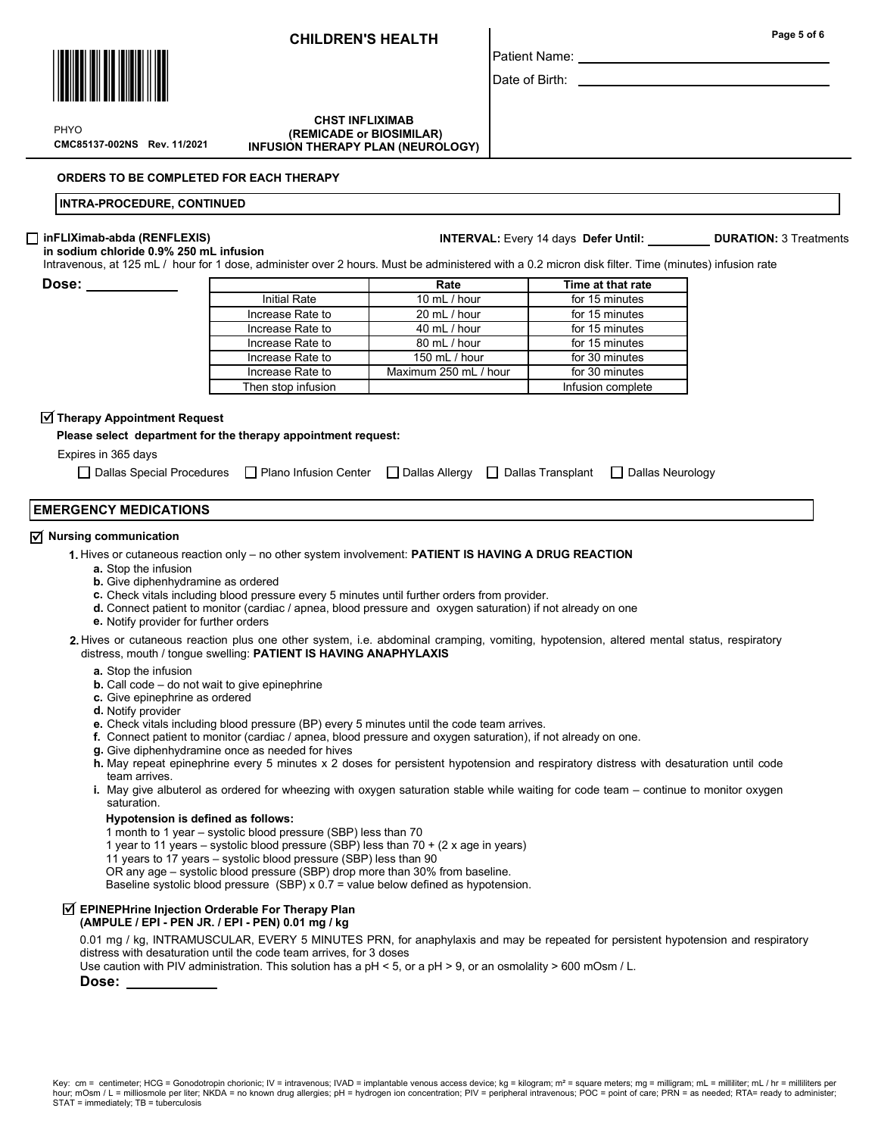

CMC85137-002NS Rev. 11/2021 **PHYO** 

**CHST INFLIXIMAB**  (REMICADE or BIOSIMILAR) INFUSION THERAPY PLAN (NEUROLOGY)

#### ORDERS TO BE COMPLETED FOR EACH THERAPY

#### INTRA-PROCEDURE, CONTINUED

#### inFLIXimab-abda (RENFLEXIS)

in sodium chloride 0.9% 250 mL infusion

Intravenous, at 125 mL / hour for 1 dose, administer over 2 hours. Must be administered with a 0.2 micron disk filter. Time (minutes) infusion rate

Dose:

|                     | Rate                                    | Time at that rate |  |
|---------------------|-----------------------------------------|-------------------|--|
| <b>Initial Rate</b> | 10 mL / hour                            | for 15 minutes    |  |
| Increase Rate to    | 20 mL / hour                            | for 15 minutes    |  |
| Increase Rate to    | 40 mL / hour                            | for 15 minutes    |  |
| Increase Rate to    | 80 mL / hour                            | for 15 minutes    |  |
| Increase Rate to    | 150 mL / hour                           | for 30 minutes    |  |
| Increase Rate to    | for 30 minutes<br>Maximum 250 mL / hour |                   |  |
| Then stop infusion  |                                         | Infusion complete |  |

## $\overline{\blacktriangleleft}$  Therapy Appointment Request

Please select department for the therapy appointment request:

Expires in 365 days

| □ Dallas Special Procedures □ Plano Infusion Center □ Dallas Allergy □ Dallas Transplant □ Dallas Neurology |  |  |  |  |
|-------------------------------------------------------------------------------------------------------------|--|--|--|--|
|-------------------------------------------------------------------------------------------------------------|--|--|--|--|

#### EMERGENCY MEDICATIONS

## $\overline{\triangleleft}$  Nursing communication

- 1. Hives or cutaneous reaction only no other system involvement: PATIENT IS HAVING A DRUG REACTION
	- a. Stop the infusion
	- b. Give diphenhydramine as ordered
	- c. Check vitals including blood pressure every 5 minutes until further orders from provider.
	- d. Connect patient to monitor (cardiac / apnea, blood pressure and oxygen saturation) if not already on one
	- e. Notify provider for further orders
- 2. Hives or cutaneous reaction plus one other system, i.e. abdominal cramping, vomiting, hypotension, altered mental status, respiratory distress, mouth / tongue swelling: PATIENT IS HAVING ANAPHYLAXIS
	- a. Stop the infusion
	- **b.** Call code do not wait to give epinephrine
	- c. Give epinephrine as ordered
	- d. Notify provider
	- e. Check vitals including blood pressure (BP) every 5 minutes until the code team arrives.
	- f. Connect patient to monitor (cardiac / apnea, blood pressure and oxygen saturation), if not already on one.
	- g. Give diphenhydramine once as needed for hives
	- h. May repeat epinephrine every 5 minutes x 2 doses for persistent hypotension and respiratory distress with desaturation until code team arrives.
	- **i**. May give albuterol as ordered for wheezing with oxygen saturation stable while waiting for code team continue to monitor oxygen saturation.

#### Hypotension is defined as follows:

- 1 month to 1 year systolic blood pressure (SBP) less than 70
- 1 year to 11 years systolic blood pressure (SBP) less than 70 + (2 x age in years)
- 11 years to 17 years systolic blood pressure (SBP) less than 90
- OR any age systolic blood pressure (SBP) drop more than 30% from baseline.
- Baseline systolic blood pressure (SBP) x 0.7 = value below defined as hypotension.

## $\overline{\triangleleft}$  EPINEPHrine Injection Orderable For Therapy Plan

#### (AMPULE / EPI - PEN JR. / EPI - PEN) 0.01 mg / kg

0.01 mg / kg, INTRAMUSCULAR, EVERY 5 MINUTES PRN, for anaphylaxis and may be repeated for persistent hypotension and respiratory distress with desaturation until the code team arrives, for 3 doses

Use caution with PIV administration. This solution has a pH < 5, or a pH > 9, or an osmolality > 600 mOsm / L.

## Dose:

Page 5 of 6

Date of Birth:

Patient Name:

INTERVAL: Every 14 days Defer Until: DURATION: 3 Treatments